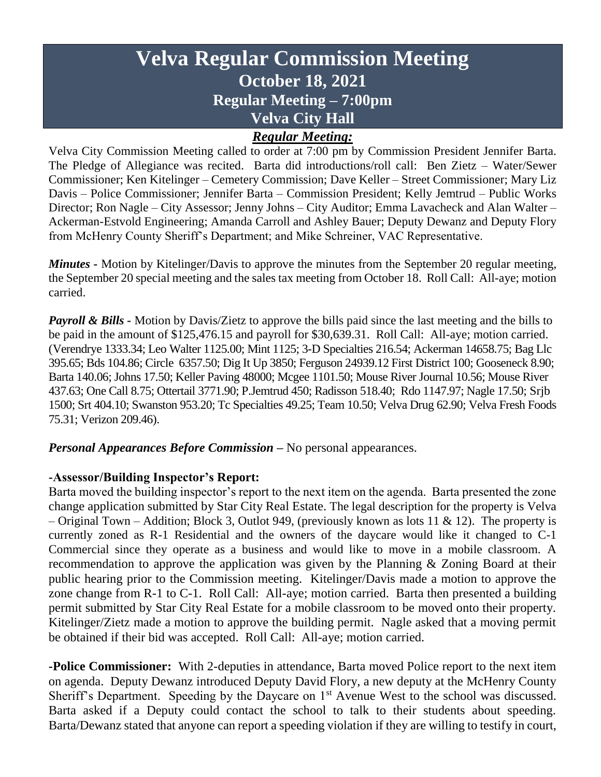# **Velva Regular Commission Meeting October 18, 2021 Regular Meeting – 7:00pm Velva City Hall**

### *Regular Meeting:*

Velva City Commission Meeting called to order at 7:00 pm by Commission President Jennifer Barta. The Pledge of Allegiance was recited. Barta did introductions/roll call: Ben Zietz – Water/Sewer Commissioner; Ken Kitelinger – Cemetery Commission; Dave Keller – Street Commissioner; Mary Liz Davis – Police Commissioner; Jennifer Barta – Commission President; Kelly Jemtrud – Public Works Director; Ron Nagle – City Assessor; Jenny Johns – City Auditor; Emma Lavacheck and Alan Walter – Ackerman-Estvold Engineering; Amanda Carroll and Ashley Bauer; Deputy Dewanz and Deputy Flory from McHenry County Sheriff's Department; and Mike Schreiner, VAC Representative.

*Minutes -* Motion by Kitelinger/Davis to approve the minutes from the September 20 regular meeting, the September 20 special meeting and the sales tax meeting from October 18. Roll Call: All-aye; motion carried.

*Payroll & Bills* - Motion by Davis/Zietz to approve the bills paid since the last meeting and the bills to be paid in the amount of \$125,476.15 and payroll for \$30,639.31. Roll Call: All-aye; motion carried. (Verendrye 1333.34; Leo Walter 1125.00; Mint 1125; 3-D Specialties 216.54; Ackerman 14658.75; Bag Llc 395.65; Bds 104.86; Circle 6357.50; Dig It Up 3850; Ferguson 24939.12 First District 100; Gooseneck 8.90; Barta 140.06; Johns 17.50; Keller Paving 48000; Mcgee 1101.50; Mouse River Journal 10.56; Mouse River 437.63; One Call 8.75; Ottertail 3771.90; P.Jemtrud 450; Radisson 518.40; Rdo 1147.97; Nagle 17.50; Srjb 1500; Srt 404.10; Swanston 953.20; Tc Specialties 49.25; Team 10.50; Velva Drug 62.90; Velva Fresh Foods 75.31; Verizon 209.46).

*Personal Appearances Before Commission –* No personal appearances.

#### **-Assessor/Building Inspector's Report:**

Barta moved the building inspector's report to the next item on the agenda. Barta presented the zone change application submitted by Star City Real Estate. The legal description for the property is Velva – Original Town – Addition; Block 3, Outlot 949, (previously known as lots 11 & 12). The property is currently zoned as R-1 Residential and the owners of the daycare would like it changed to C-1 Commercial since they operate as a business and would like to move in a mobile classroom. A recommendation to approve the application was given by the Planning & Zoning Board at their public hearing prior to the Commission meeting. Kitelinger/Davis made a motion to approve the zone change from R-1 to C-1. Roll Call: All-aye; motion carried. Barta then presented a building permit submitted by Star City Real Estate for a mobile classroom to be moved onto their property. Kitelinger/Zietz made a motion to approve the building permit. Nagle asked that a moving permit be obtained if their bid was accepted. Roll Call: All-aye; motion carried.

**-Police Commissioner:** With 2-deputies in attendance, Barta moved Police report to the next item on agenda. Deputy Dewanz introduced Deputy David Flory, a new deputy at the McHenry County Sheriff's Department. Speeding by the Daycare on 1<sup>st</sup> Avenue West to the school was discussed. Barta asked if a Deputy could contact the school to talk to their students about speeding. Barta/Dewanz stated that anyone can report a speeding violation if they are willing to testify in court,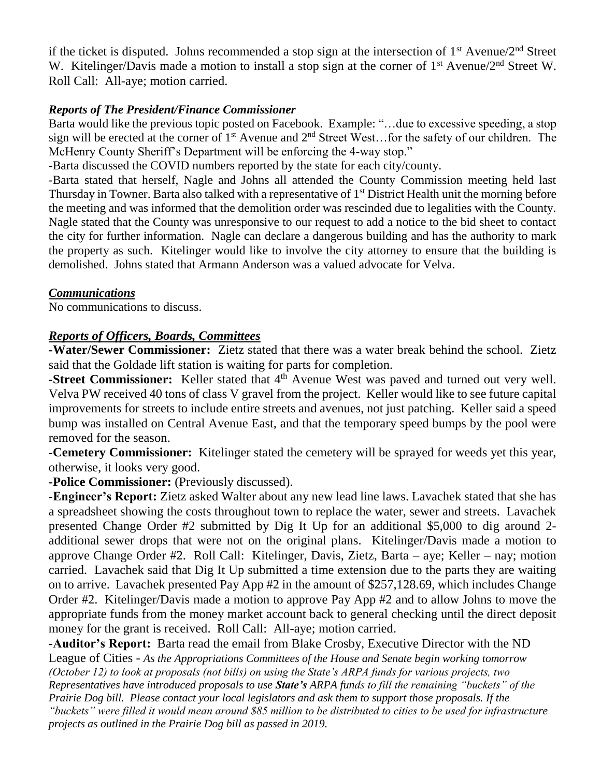if the ticket is disputed. Johns recommended a stop sign at the intersection of  $1<sup>st</sup>$  Avenue/2<sup>nd</sup> Street W. Kitelinger/Davis made a motion to install a stop sign at the corner of 1<sup>st</sup> Avenue/2<sup>nd</sup> Street W. Roll Call: All-aye; motion carried.

#### *Reports of The President/Finance Commissioner*

Barta would like the previous topic posted on Facebook. Example: "…due to excessive speeding, a stop sign will be erected at the corner of 1<sup>st</sup> Avenue and 2<sup>nd</sup> Street West...for the safety of our children. The McHenry County Sheriff's Department will be enforcing the 4-way stop."

-Barta discussed the COVID numbers reported by the state for each city/county.

-Barta stated that herself, Nagle and Johns all attended the County Commission meeting held last Thursday in Towner. Barta also talked with a representative of 1<sup>st</sup> District Health unit the morning before the meeting and was informed that the demolition order was rescinded due to legalities with the County. Nagle stated that the County was unresponsive to our request to add a notice to the bid sheet to contact the city for further information. Nagle can declare a dangerous building and has the authority to mark the property as such. Kitelinger would like to involve the city attorney to ensure that the building is demolished. Johns stated that Armann Anderson was a valued advocate for Velva.

#### *Communications*

No communications to discuss.

#### *Reports of Officers, Boards, Committees*

*-***Water/Sewer Commissioner:** Zietz stated that there was a water break behind the school. Zietz said that the Goldade lift station is waiting for parts for completion.

**-Street Commissioner:** Keller stated that 4<sup>th</sup> Avenue West was paved and turned out very well. Velva PW received 40 tons of class V gravel from the project. Keller would like to see future capital improvements for streets to include entire streets and avenues, not just patching. Keller said a speed bump was installed on Central Avenue East, and that the temporary speed bumps by the pool were removed for the season.

**-Cemetery Commissioner:** Kitelinger stated the cemetery will be sprayed for weeds yet this year, otherwise, it looks very good.

**-Police Commissioner:** (Previously discussed).

**-Engineer's Report:** Zietz asked Walter about any new lead line laws. Lavachek stated that she has a spreadsheet showing the costs throughout town to replace the water, sewer and streets. Lavachek presented Change Order #2 submitted by Dig It Up for an additional \$5,000 to dig around 2 additional sewer drops that were not on the original plans. Kitelinger/Davis made a motion to approve Change Order #2. Roll Call: Kitelinger, Davis, Zietz, Barta – aye; Keller – nay; motion carried. Lavachek said that Dig It Up submitted a time extension due to the parts they are waiting on to arrive. Lavachek presented Pay App #2 in the amount of \$257,128.69, which includes Change Order #2. Kitelinger/Davis made a motion to approve Pay App #2 and to allow Johns to move the appropriate funds from the money market account back to general checking until the direct deposit money for the grant is received. Roll Call: All-aye; motion carried.

**-Auditor's Report:** Barta read the email from Blake Crosby, Executive Director with the ND League of Cities - *As the Appropriations Committees of the House and Senate begin working tomorrow (October 12) to look at proposals (not bills) on using the State's ARPA funds for various projects, two Representatives have introduced proposals to use State's ARPA funds to fill the remaining "buckets" of the Prairie Dog bill. Please contact your local legislators and ask them to support those proposals. If the "buckets" were filled it would mean around \$85 million to be distributed to cities to be used for infrastructure projects as outlined in the Prairie Dog bill as passed in 2019.*